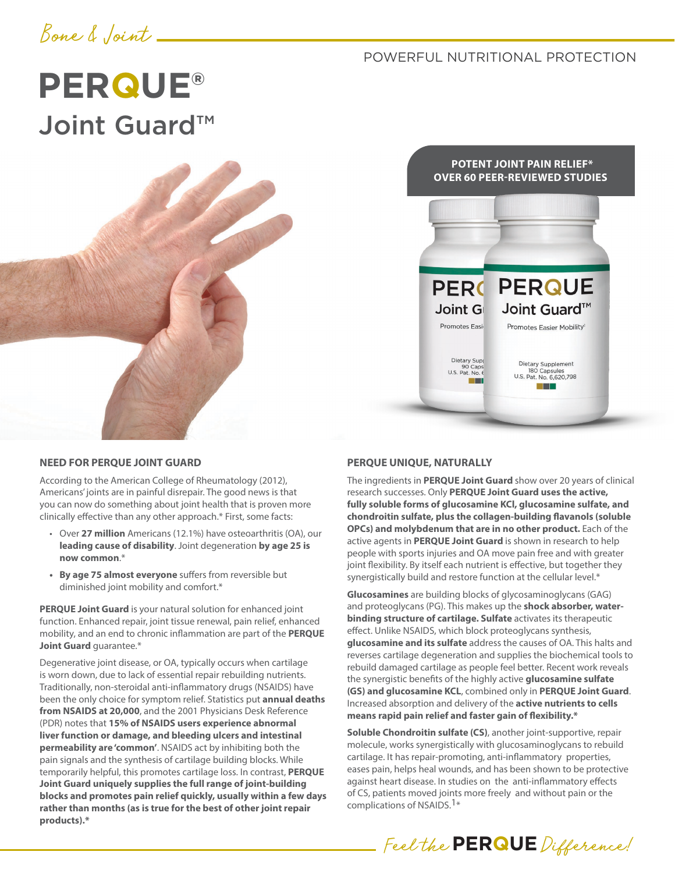## Bone & Joint

### POWERFUL NUTRITIONAL PROTECTION

# **PERQUE®** Joint Guard™



**POTENT JOINT PAIN RELIEF\* OVER 60 PEER-REVIEWED STUDIES**



#### **NEED FOR PERQUE JOINT GUARD**

According to the American College of Rheumatology (2012), Americans' joints are in painful disrepair. The good news is that you can now do something about joint health that is proven more clinically effective than any other approach.\* First, some facts:

- Over **27 million** Americans (12.1%) have osteoarthritis (OA), our **leading cause of disability**. Joint degeneration **by age 25 is now common**.\*
- **• By age 75 almost everyone** suffers from reversible but diminished joint mobility and comfort.\*

**PERQUE Joint Guard** is your natural solution for enhanced joint function. Enhanced repair, joint tissue renewal, pain relief, enhanced mobility, and an end to chronic inflammation are part of the **PERQUE Joint Guard** guarantee.\*

Degenerative joint disease, or OA, typically occurs when cartilage is worn down, due to lack of essential repair rebuilding nutrients. Traditionally, non-steroidal anti-inflammatory drugs (NSAIDS) have been the only choice for symptom relief. Statistics put **annual deaths from NSAIDS at 20,000**, and the 2001 Physicians Desk Reference (PDR) notes that **15% of NSAIDS users experience abnormal liver function or damage, and bleeding ulcers and intestinal permeability are 'common'**. NSAIDS act by inhibiting both the pain signals and the synthesis of cartilage building blocks. While temporarily helpful, this promotes cartilage loss. In contrast, **PERQUE Joint Guard uniquely supplies the full range of joint-building blocks and promotes pain relief quickly, usually within a few days rather than months (as is true for the best of other joint repair products).\*** 

#### **PERQUE UNIQUE, NATURALLY**

The ingredients in **PERQUE Joint Guard** show over 20 years of clinical research successes. Only **PERQUE Joint Guard uses the active, fully soluble forms of glucosamine KCl, glucosamine sulfate, and chondroitin sulfate, plus the collagen-building flavanols (soluble OPCs) and molybdenum that are in no other product.** Each of the active agents in **PERQUE Joint Guard** is shown in research to help people with sports injuries and OA move pain free and with greater joint flexibility. By itself each nutrient is effective, but together they synergistically build and restore function at the cellular level.\*

**Glucosamines** are building blocks of glycosaminoglycans (GAG) and proteoglycans (PG). This makes up the **shock absorber, waterbinding structure of cartilage. Sulfate** activates its therapeutic effect. Unlike NSAIDS, which block proteoglycans synthesis, **glucosamine and its sulfate** address the causes of OA. This halts and reverses cartilage degeneration and supplies the biochemical tools to rebuild damaged cartilage as people feel better. Recent work reveals the synergistic benefits of the highly active **glucosamine sulfate (GS) and glucosamine KCL**, combined only in **PERQUE Joint Guard**. Increased absorption and delivery of the **active nutrients to cells means rapid pain relief and faster gain of flexibility.\*** 

**Soluble Chondroitin sulfate (CS)**, another joint-supportive, repair molecule, works synergistically with glucosaminoglycans to rebuild cartilage. It has repair-promoting, anti-inflammatory properties, eases pain, helps heal wounds, and has been shown to be protective against heart disease. In studies on the anti-inflammatory effects of CS, patients moved joints more freely and without pain or the complications of NSAIDS.1\*